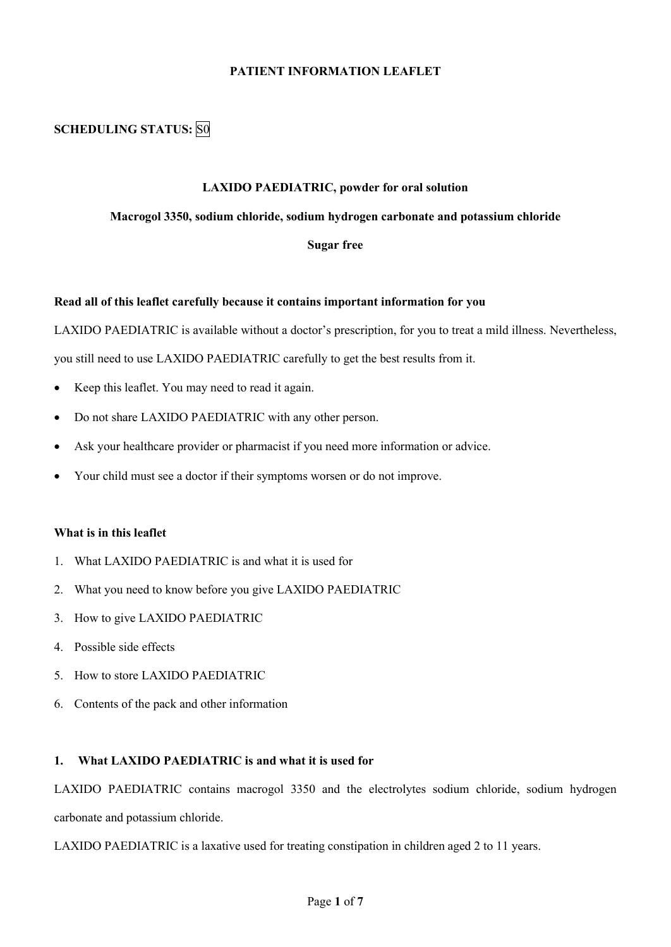## **PATIENT INFORMATION LEAFLET**

# **SCHEDULING STATUS:** S0

#### **LAXIDO PAEDIATRIC, powder for oral solution**

#### **Macrogol 3350, sodium chloride, sodium hydrogen carbonate and potassium chloride**

#### **Sugar free**

#### **Read all of this leaflet carefully because it contains important information for you**

LAXIDO PAEDIATRIC is available without a doctor's prescription, for you to treat a mild illness. Nevertheless,

you still need to use LAXIDO PAEDIATRIC carefully to get the best results from it.

- Keep this leaflet. You may need to read it again.
- Do not share LAXIDO PAEDIATRIC with any other person.
- Ask your healthcare provider or pharmacist if you need more information or advice.
- Your child must see a doctor if their symptoms worsen or do not improve.

#### **What is in this leaflet**

- 1. What LAXIDO PAEDIATRIC is and what it is used for
- 2. What you need to know before you give LAXIDO PAEDIATRIC
- 3. How to give LAXIDO PAEDIATRIC
- 4. Possible side effects
- 5. How to store LAXIDO PAEDIATRIC
- 6. Contents of the pack and other information

## **1. What LAXIDO PAEDIATRIC is and what it is used for**

LAXIDO PAEDIATRIC contains macrogol 3350 and the electrolytes sodium chloride, sodium hydrogen carbonate and potassium chloride.

LAXIDO PAEDIATRIC is a laxative used for treating constipation in children aged 2 to 11 years.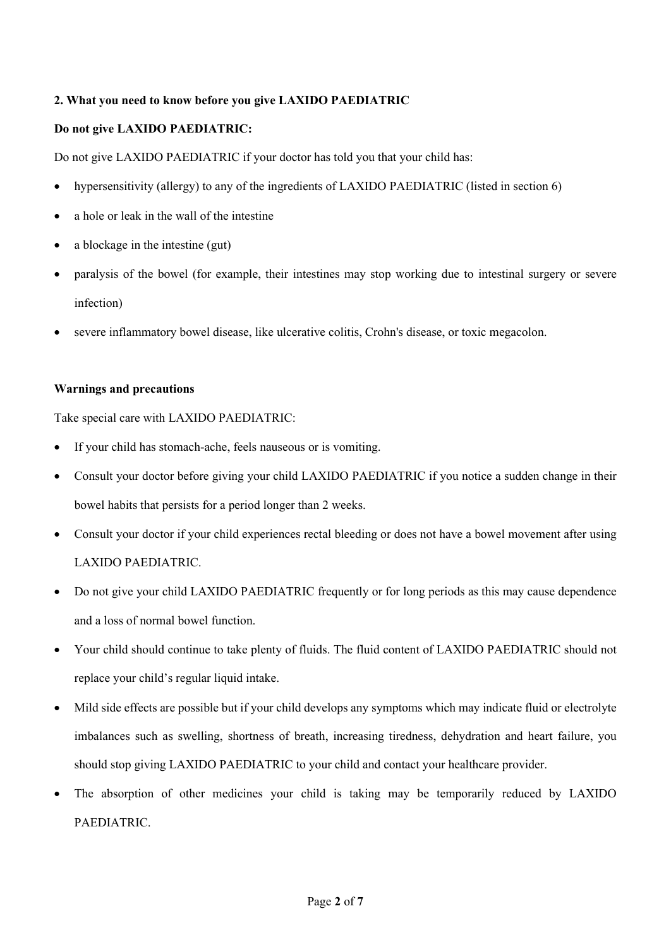## **2. What you need to know before you give LAXIDO PAEDIATRIC**

## **Do not give LAXIDO PAEDIATRIC:**

Do not give LAXIDO PAEDIATRIC if your doctor has told you that your child has:

- hypersensitivity (allergy) to any of the ingredients of LAXIDO PAEDIATRIC (listed in section 6)
- a hole or leak in the wall of the intestine
- a blockage in the intestine (gut)
- paralysis of the bowel (for example, their intestines may stop working due to intestinal surgery or severe infection)
- severe inflammatory bowel disease, like ulcerative colitis, Crohn's disease, or toxic megacolon.

### **Warnings and precautions**

Take special care with LAXIDO PAEDIATRIC:

- If your child has stomach-ache, feels nauseous or is vomiting.
- Consult your doctor before giving your child LAXIDO PAEDIATRIC if you notice a sudden change in their bowel habits that persists for a period longer than 2 weeks.
- Consult your doctor if your child experiences rectal bleeding or does not have a bowel movement after using LAXIDO PAEDIATRIC.
- Do not give your child LAXIDO PAEDIATRIC frequently or for long periods as this may cause dependence and a loss of normal bowel function.
- Your child should continue to take plenty of fluids. The fluid content of LAXIDO PAEDIATRIC should not replace your child's regular liquid intake.
- Mild side effects are possible but if your child develops any symptoms which may indicate fluid or electrolyte imbalances such as swelling, shortness of breath, increasing tiredness, dehydration and heart failure, you should stop giving LAXIDO PAEDIATRIC to your child and contact your healthcare provider.
- The absorption of other medicines your child is taking may be temporarily reduced by LAXIDO PAEDIATRIC.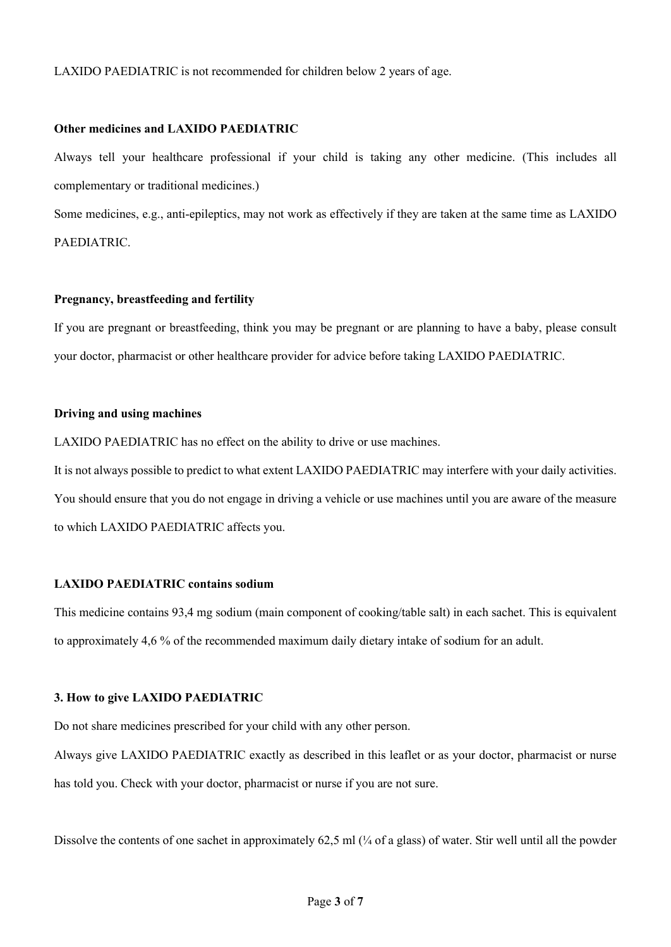LAXIDO PAEDIATRIC is not recommended for children below 2 years of age.

#### **Other medicines and LAXIDO PAEDIATRIC**

Always tell your healthcare professional if your child is taking any other medicine. (This includes all complementary or traditional medicines.)

Some medicines, e.g., anti-epileptics, may not work as effectively if they are taken at the same time as LAXIDO PAEDIATRIC.

#### **Pregnancy, breastfeeding and fertility**

If you are pregnant or breastfeeding, think you may be pregnant or are planning to have a baby, please consult your doctor, pharmacist or other healthcare provider for advice before taking LAXIDO PAEDIATRIC.

## **Driving and using machines**

LAXIDO PAEDIATRIC has no effect on the ability to drive or use machines.

It is not always possible to predict to what extent LAXIDO PAEDIATRIC may interfere with your daily activities. You should ensure that you do not engage in driving a vehicle or use machines until you are aware of the measure to which LAXIDO PAEDIATRIC affects you.

## **LAXIDO PAEDIATRIC contains sodium**

This medicine contains 93,4 mg sodium (main component of cooking/table salt) in each sachet. This is equivalent to approximately 4,6 % of the recommended maximum daily dietary intake of sodium for an adult.

### **3. How to give LAXIDO PAEDIATRIC**

Do not share medicines prescribed for your child with any other person.

Always give LAXIDO PAEDIATRIC exactly as described in this leaflet or as your doctor, pharmacist or nurse has told you. Check with your doctor, pharmacist or nurse if you are not sure.

Dissolve the contents of one sachet in approximately 62,5 ml ( $\frac{1}{4}$  of a glass) of water. Stir well until all the powder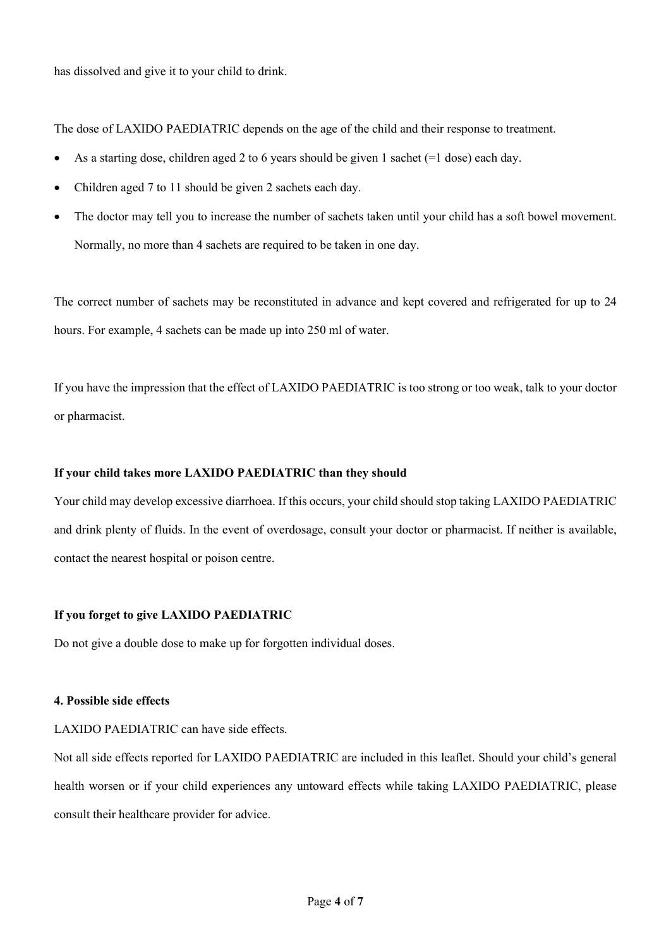has dissolved and give it to your child to drink.

The dose of LAXIDO PAEDIATRIC depends on the age of the child and their response to treatment.

- As a starting dose, children aged 2 to 6 years should be given 1 sachet ( $=1$  dose) each day.
- Children aged 7 to 11 should be given 2 sachets each day.
- The doctor may tell you to increase the number of sachets taken until your child has a soft bowel movement. Normally, no more than 4 sachets are required to be taken in one day.

The correct number of sachets may be reconstituted in advance and kept covered and refrigerated for up to 24 hours. For example, 4 sachets can be made up into 250 ml of water.

If you have the impression that the effect of LAXIDO PAEDIATRIC is too strong or too weak, talk to your doctor or pharmacist.

## **If your child takes more LAXIDO PAEDIATRIC than they should**

Your child may develop excessive diarrhoea. If this occurs, your child should stop taking LAXIDO PAEDIATRIC and drink plenty of fluids. In the event of overdosage, consult your doctor or pharmacist. If neither is available, contact the nearest hospital or poison centre.

#### **If you forget to give LAXIDO PAEDIATRIC**

Do not give a double dose to make up for forgotten individual doses.

### **4. Possible side effects**

#### LAXIDO PAEDIATRIC can have side effects.

Not all side effects reported for LAXIDO PAEDIATRIC are included in this leaflet. Should your child's general health worsen or if your child experiences any untoward effects while taking LAXIDO PAEDIATRIC, please consult their healthcare provider for advice.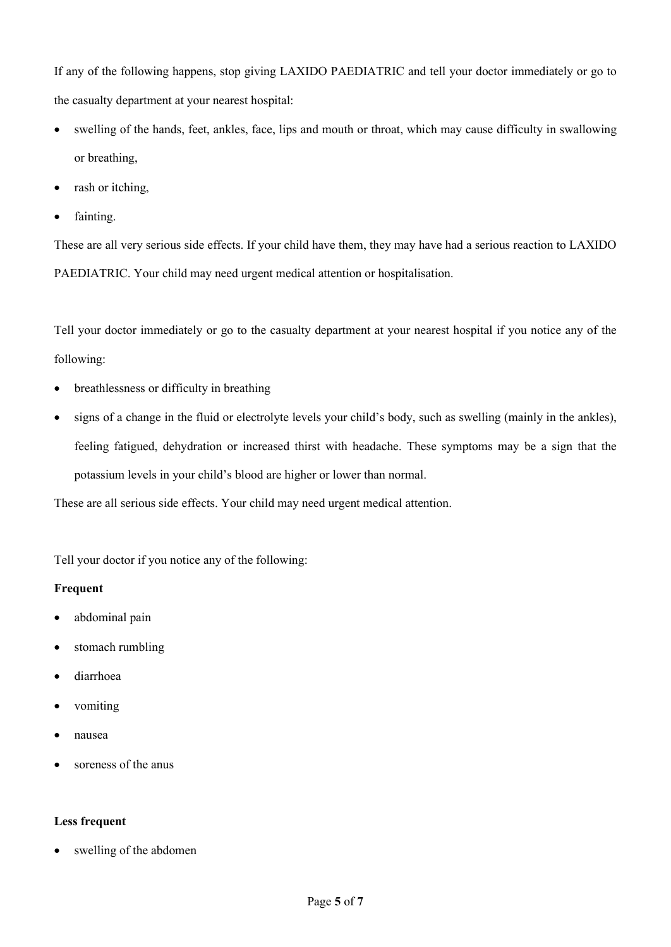If any of the following happens, stop giving LAXIDO PAEDIATRIC and tell your doctor immediately or go to the casualty department at your nearest hospital:

- swelling of the hands, feet, ankles, face, lips and mouth or throat, which may cause difficulty in swallowing or breathing,
- rash or itching,
- fainting.

These are all very serious side effects. If your child have them, they may have had a serious reaction to LAXIDO PAEDIATRIC. Your child may need urgent medical attention or hospitalisation.

Tell your doctor immediately or go to the casualty department at your nearest hospital if you notice any of the following:

- breathlessness or difficulty in breathing
- signs of a change in the fluid or electrolyte levels your child's body, such as swelling (mainly in the ankles), feeling fatigued, dehydration or increased thirst with headache. These symptoms may be a sign that the potassium levels in your child's blood are higher or lower than normal.

These are all serious side effects. Your child may need urgent medical attention.

Tell your doctor if you notice any of the following:

## **Frequent**

- abdominal pain
- stomach rumbling
- diarrhoea
- vomiting
- nausea
- soreness of the anus

## **Less frequent**

swelling of the abdomen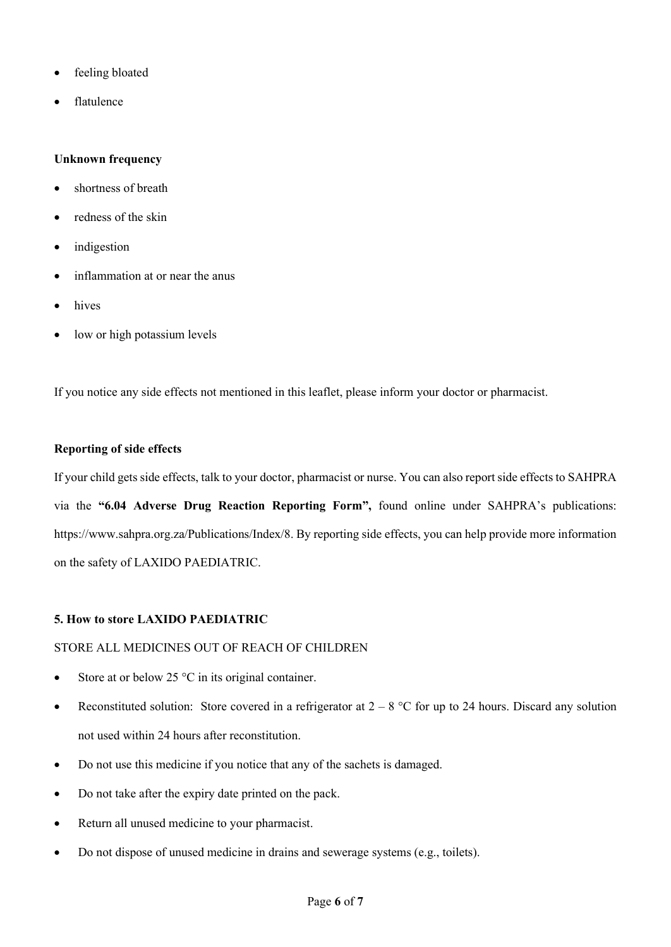- feeling bloated
- flatulence

## **Unknown frequency**

- shortness of breath
- redness of the skin
- *indigestion*
- inflammation at or near the anus
- hives
- low or high potassium levels

If you notice any side effects not mentioned in this leaflet, please inform your doctor or pharmacist.

## **Reporting of side effects**

If your child gets side effects, talk to your doctor, pharmacist or nurse. You can also report side effects to SAHPRA via the **"6.04 Adverse Drug Reaction Reporting Form",** found online under SAHPRA's publications: https://www.sahpra.org.za/Publications/Index/8. By reporting side effects, you can help provide more information on the safety of LAXIDO PAEDIATRIC.

## **5. How to store LAXIDO PAEDIATRIC**

## STORE ALL MEDICINES OUT OF REACH OF CHILDREN

- Store at or below 25  $\degree$ C in its original container.
- Reconstituted solution: Store covered in a refrigerator at  $2 8$  °C for up to 24 hours. Discard any solution not used within 24 hours after reconstitution.
- Do not use this medicine if you notice that any of the sachets is damaged.
- Do not take after the expiry date printed on the pack.
- Return all unused medicine to your pharmacist.
- Do not dispose of unused medicine in drains and sewerage systems (e.g., toilets).